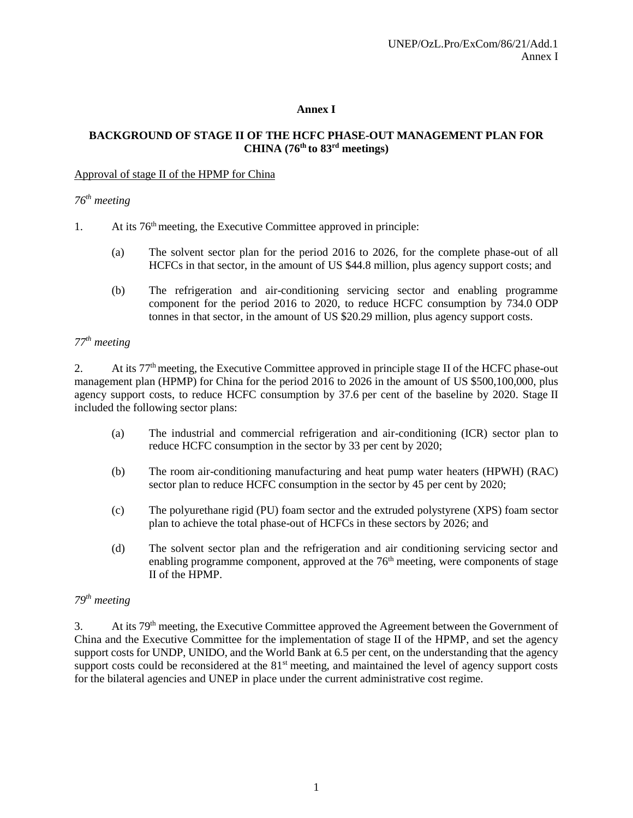# **Annex I**

### **BACKGROUND OF STAGE II OF THE HCFC PHASE-OUT MANAGEMENT PLAN FOR CHINA (76th to 83rd meetings)**

#### Approval of stage II of the HPMP for China

### *76th meeting*

- 1. At its  $76<sup>th</sup>$  meeting, the Executive Committee approved in principle:
	- (a) The solvent sector plan for the period 2016 to 2026, for the complete phase-out of all HCFCs in that sector, in the amount of US \$44.8 million, plus agency support costs; and
	- (b) The refrigeration and air-conditioning servicing sector and enabling programme component for the period 2016 to 2020, to reduce HCFC consumption by 734.0 ODP tonnes in that sector, in the amount of US \$20.29 million, plus agency support costs.

# *77th meeting*

2. At its  $77<sup>th</sup>$  meeting, the Executive Committee approved in principle stage II of the HCFC phase-out management plan (HPMP) for China for the period 2016 to 2026 in the amount of US \$500,100,000, plus agency support costs, to reduce HCFC consumption by 37.6 per cent of the baseline by 2020. Stage II included the following sector plans:

- (a) The industrial and commercial refrigeration and air-conditioning (ICR) sector plan to reduce HCFC consumption in the sector by 33 per cent by 2020;
- (b) The room air-conditioning manufacturing and heat pump water heaters (HPWH) (RAC) sector plan to reduce HCFC consumption in the sector by 45 per cent by 2020;
- (c) The polyurethane rigid (PU) foam sector and the extruded polystyrene (XPS) foam sector plan to achieve the total phase-out of HCFCs in these sectors by 2026; and
- (d) The solvent sector plan and the refrigeration and air conditioning servicing sector and enabling programme component, approved at the  $76<sup>th</sup>$  meeting, were components of stage II of the HPMP.

### *79th meeting*

3. At its 79th meeting, the Executive Committee approved the Agreement between the Government of China and the Executive Committee for the implementation of stage II of the HPMP, and set the agency support costs for UNDP, UNIDO, and the World Bank at 6.5 per cent, on the understanding that the agency support costs could be reconsidered at the 81<sup>st</sup> meeting, and maintained the level of agency support costs for the bilateral agencies and UNEP in place under the current administrative cost regime.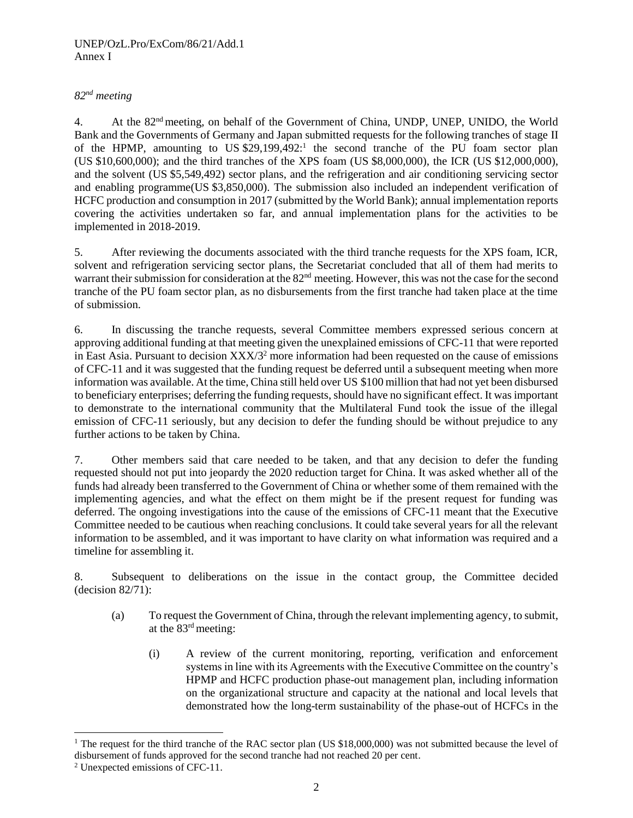### UNEP/OzL.Pro/ExCom/86/21/Add.1 Annex I

# *82nd meeting*

4. At the 82nd meeting, on behalf of the Government of China, UNDP, UNEP, UNIDO, the World Bank and the Governments of Germany and Japan submitted requests for the following tranches of stage II of the HPMP, amounting to US \$29,199,492:<sup>1</sup> the second tranche of the PU foam sector plan (US \$10,600,000); and the third tranches of the XPS foam (US \$8,000,000), the ICR (US \$12,000,000), and the solvent (US \$5,549,492) sector plans, and the refrigeration and air conditioning servicing sector and enabling programme(US \$3,850,000). The submission also included an independent verification of HCFC production and consumption in 2017 (submitted by the World Bank); annual implementation reports covering the activities undertaken so far, and annual implementation plans for the activities to be implemented in 2018-2019.

5. After reviewing the documents associated with the third tranche requests for the XPS foam, ICR, solvent and refrigeration servicing sector plans, the Secretariat concluded that all of them had merits to warrant their submission for consideration at the 82<sup>nd</sup> meeting. However, this was not the case for the second tranche of the PU foam sector plan, as no disbursements from the first tranche had taken place at the time of submission.

6. In discussing the tranche requests, several Committee members expressed serious concern at approving additional funding at that meeting given the unexplained emissions of CFC-11 that were reported in East Asia. Pursuant to decision XXX/3<sup>2</sup> more information had been requested on the cause of emissions of CFC-11 and it was suggested that the funding request be deferred until a subsequent meeting when more information was available. At the time, China still held over US \$100 million that had not yet been disbursed to beneficiary enterprises; deferring the funding requests, should have no significant effect. It was important to demonstrate to the international community that the Multilateral Fund took the issue of the illegal emission of CFC-11 seriously, but any decision to defer the funding should be without prejudice to any further actions to be taken by China.

7. Other members said that care needed to be taken, and that any decision to defer the funding requested should not put into jeopardy the 2020 reduction target for China. It was asked whether all of the funds had already been transferred to the Government of China or whether some of them remained with the implementing agencies, and what the effect on them might be if the present request for funding was deferred. The ongoing investigations into the cause of the emissions of CFC-11 meant that the Executive Committee needed to be cautious when reaching conclusions. It could take several years for all the relevant information to be assembled, and it was important to have clarity on what information was required and a timeline for assembling it.

8. Subsequent to deliberations on the issue in the contact group, the Committee decided (decision 82/71):

- (a) To request the Government of China, through the relevant implementing agency, to submit, at the 83rd meeting:
	- (i) A review of the current monitoring, reporting, verification and enforcement systems in line with its Agreements with the Executive Committee on the country's HPMP and HCFC production phase-out management plan, including information on the organizational structure and capacity at the national and local levels that demonstrated how the long-term sustainability of the phase-out of HCFCs in the

l

<sup>&</sup>lt;sup>1</sup> The request for the third tranche of the RAC sector plan (US \$18,000,000) was not submitted because the level of disbursement of funds approved for the second tranche had not reached 20 per cent.

<sup>2</sup> Unexpected emissions of CFC-11.